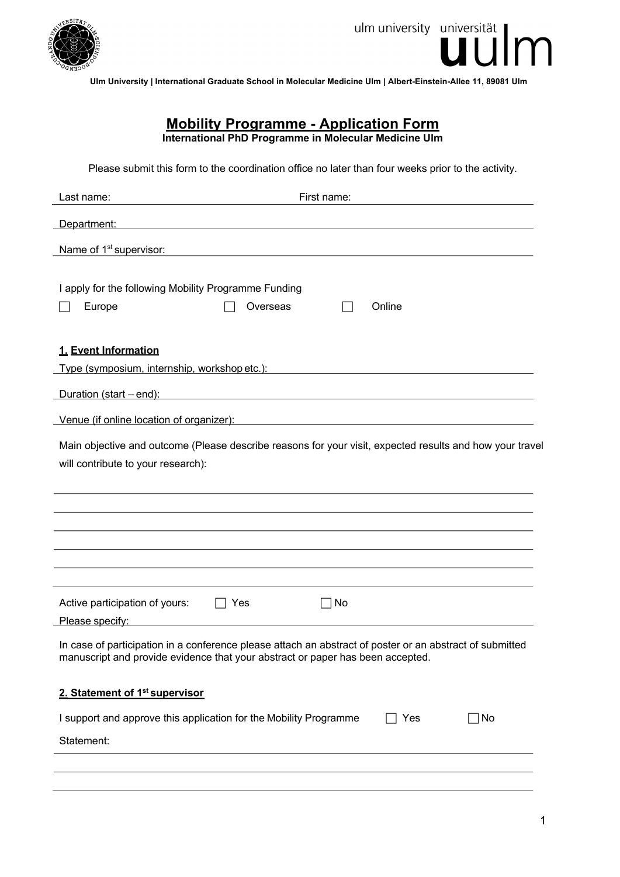

**Ulm University | International Graduate School in Molecular Medicine Ulm | Albert-Einstein-Allee 11, 89081 Ulm**

# **Mobility Programme - Application Form**

**International PhD Programme in Molecular Medicine Ulm**

Please submit this form to the coordination office no later than four weeks prior to the activity.

| First name:<br>Last name:                                                                                                                                                                  |  |  |
|--------------------------------------------------------------------------------------------------------------------------------------------------------------------------------------------|--|--|
| Department:                                                                                                                                                                                |  |  |
| Name of 1 <sup>st</sup> supervisor:<br><u> 1980 - Johann Barn, amerikansk politiker (d. 1980)</u>                                                                                          |  |  |
|                                                                                                                                                                                            |  |  |
| I apply for the following Mobility Programme Funding                                                                                                                                       |  |  |
| Online<br>Overseas<br>Europe                                                                                                                                                               |  |  |
| 1. Event Information                                                                                                                                                                       |  |  |
| Type (symposium, internship, workshop etc.):                                                                                                                                               |  |  |
| Duration (start – end):                                                                                                                                                                    |  |  |
| Venue (if online location of organizer):<br><u> 1989 - Johann Barn, mars ann an t-Amhain Aonaich an t-Aonaich an t-Aonaich ann an t-Aonaich ann an t-Aonaich</u>                           |  |  |
| Main objective and outcome (Please describe reasons for your visit, expected results and how your travel<br>will contribute to your research):                                             |  |  |
|                                                                                                                                                                                            |  |  |
|                                                                                                                                                                                            |  |  |
|                                                                                                                                                                                            |  |  |
|                                                                                                                                                                                            |  |  |
|                                                                                                                                                                                            |  |  |
| Active participation of yours:<br>No<br>Yes                                                                                                                                                |  |  |
| Please specify:                                                                                                                                                                            |  |  |
| In case of participation in a conference please attach an abstract of poster or an abstract of submitted<br>manuscript and provide evidence that your abstract or paper has been accepted. |  |  |
| 2. Statement of 1 <sup>st</sup> supervisor                                                                                                                                                 |  |  |
| I support and approve this application for the Mobility Programme<br>Yes<br>No                                                                                                             |  |  |
| Statement:                                                                                                                                                                                 |  |  |
|                                                                                                                                                                                            |  |  |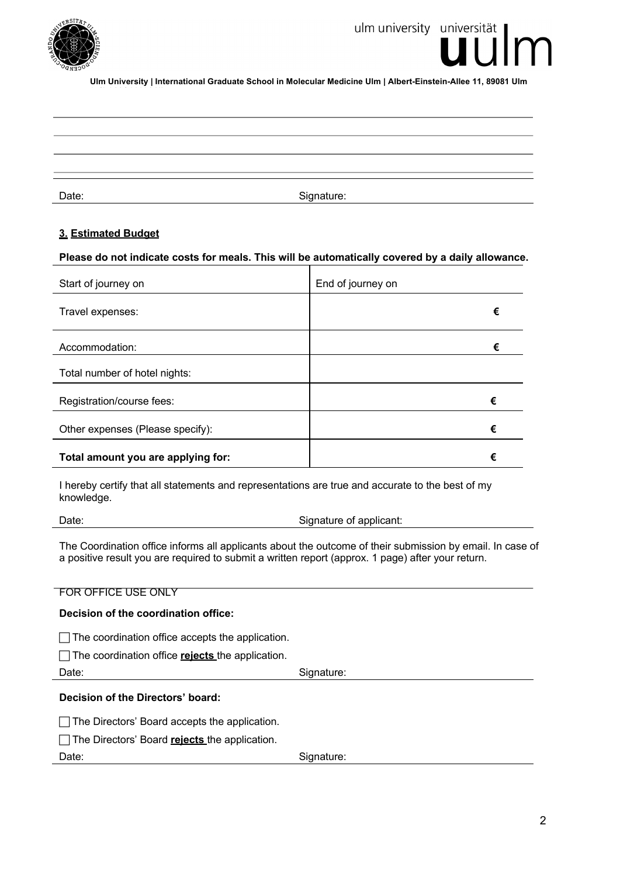

## ulm university universität

**Ulm University | International Graduate School in Molecular Medicine Ulm | Albert-Einstein-Allee 11, 89081 Ulm**

Date: Signature: Signature: Signature: Signature: Signature: Signature: Signature: Signature: Signature: Signature: Signature: Signature: Signature: Signature: Signature: Signature: Signature: Signature: Signature: Signatu

#### **3. Estimated Budget**

#### **Please do not indicate costs for meals. This will be automatically covered by a daily allowance.**

| Start of journey on                | End of journey on |   |
|------------------------------------|-------------------|---|
| Travel expenses:                   |                   | € |
| Accommodation:                     |                   | € |
| Total number of hotel nights:      |                   |   |
| Registration/course fees:          | €                 |   |
| Other expenses (Please specify):   | €                 |   |
| Total amount you are applying for: | €                 |   |

I hereby certify that all statements and representations are true and accurate to the best of my knowledge.

Date: Date: Signature of applicant:

The Coordination office informs all applicants about the outcome of their submission by email. In case of a positive result you are required to submit a written report (approx. 1 page) after your return.

| <b>FOR OFFICE USE ONLY</b>                       |            |  |
|--------------------------------------------------|------------|--|
| Decision of the coordination office:             |            |  |
| The coordination office accepts the application. |            |  |
| The coordination office rejects the application. |            |  |
| Date:                                            | Signature: |  |
| Decision of the Directors' board:                |            |  |
| The Directors' Board accepts the application.    |            |  |
| The Directors' Board rejects the application.    |            |  |
| Date:                                            | Signature: |  |